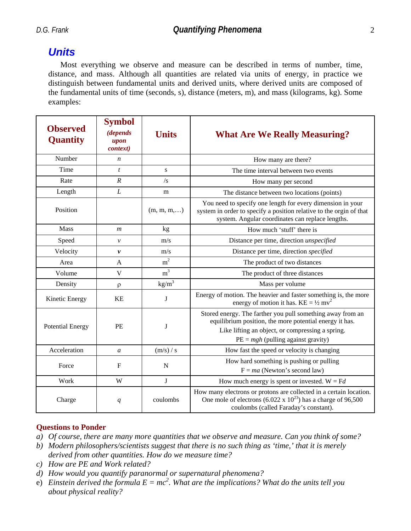## *Units*

Most everything we observe and measure can be described in terms of number, time, distance, and mass. Although all quantities are related via units of energy, in practice we distinguish between fundamental units and derived units, where derived units are composed of the fundamental units of time (seconds, s), distance (meters, m), and mass (kilograms, kg). Some examples:

| <b>Observed</b><br>Quantity | <b>Symbol</b><br><i>(depends</i><br>upon<br>context) | <b>Units</b>        | <b>What Are We Really Measuring?</b>                                                                                                                                                                              |  |
|-----------------------------|------------------------------------------------------|---------------------|-------------------------------------------------------------------------------------------------------------------------------------------------------------------------------------------------------------------|--|
| Number                      | $\boldsymbol{n}$                                     |                     | How many are there?                                                                                                                                                                                               |  |
| Time                        | $\mathbf{t}$                                         | S                   | The time interval between two events                                                                                                                                                                              |  |
| Rate                        | $\cal R$                                             | $\sqrt{s}$          | How many per second                                                                                                                                                                                               |  |
| Length                      | L                                                    | m                   | The distance between two locations (points)                                                                                                                                                                       |  |
| Position                    |                                                      | $(m, m, m, \ldots)$ | You need to specify one length for every dimension in your<br>system in order to specify a position relative to the orgin of that<br>system. Angular coordinates can replace lengths.                             |  |
| <b>Mass</b>                 | $\boldsymbol{m}$                                     | kg                  | How much 'stuff' there is                                                                                                                                                                                         |  |
| Speed                       | ν                                                    | m/s                 | Distance per time, direction unspecified                                                                                                                                                                          |  |
| Velocity                    | $\mathbf{v}$                                         | m/s                 | Distance per time, direction specified                                                                                                                                                                            |  |
| Area                        | A                                                    | m <sup>2</sup>      | The product of two distances                                                                                                                                                                                      |  |
| Volume                      | V                                                    | m <sup>3</sup>      | The product of three distances                                                                                                                                                                                    |  |
| Density                     | $\rho$                                               | $\text{kg/m}^3$     | Mass per volume                                                                                                                                                                                                   |  |
| Kinetic Energy              | <b>KE</b>                                            | J                   | Energy of motion. The heavier and faster something is, the more<br>energy of motion it has. $KE = \frac{1}{2} mv^2$                                                                                               |  |
| <b>Potential Energy</b>     | PE                                                   | J                   | Stored energy. The farther you pull something away from an<br>equilibrium position, the more potential energy it has.<br>Like lifting an object, or compressing a spring.<br>$PE = mgh$ (pulling against gravity) |  |
| Acceleration                | $\boldsymbol{a}$                                     | (m/s) / s           | How fast the speed or velocity is changing                                                                                                                                                                        |  |
| Force                       | $\mathbf{F}$                                         | N                   | How hard something is pushing or pulling<br>$F = ma$ (Newton's second law)                                                                                                                                        |  |
| Work                        | W                                                    | $\mathbf{J}$        | How much energy is spent or invested. $W = Fd$                                                                                                                                                                    |  |
| Charge                      | q                                                    | coulombs            | How many electrons or protons are collected in a certain location.<br>One mole of electrons (6.022 x $10^{23}$ ) has a charge of 96,500<br>coulombs (called Faraday's constant).                                  |  |

#### **Questions to Ponder**

- *a) Of course, there are many more quantities that we observe and measure. Can you think of some?*
- *b) Modern philosophers/scientists suggest that there is no such thing as 'time,' that it is merely derived from other quantities. How do we measure time?*
- *c) How are PE and Work related?*
- *d) How would you quantify paranormal or supernatural phenomena?*
- e) Einstein derived the formula  $E = mc^2$ . What are the implications? What do the units tell you *about physical reality?*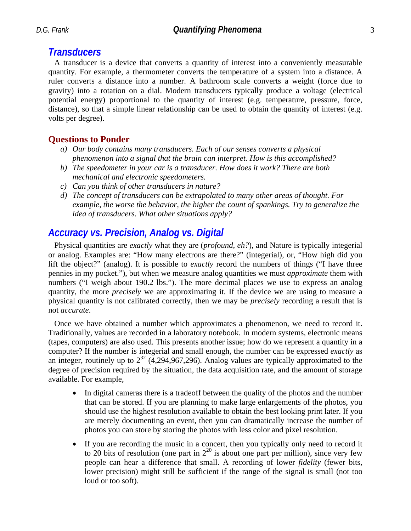### *Transducers*

A transducer is a device that converts a quantity of interest into a conveniently measurable quantity. For example, a thermometer converts the temperature of a system into a distance. A ruler converts a distance into a number. A bathroom scale converts a weight (force due to gravity) into a rotation on a dial. Modern transducers typically produce a voltage (electrical potential energy) proportional to the quantity of interest (e.g. temperature, pressure, force, distance), so that a simple linear relationship can be used to obtain the quantity of interest (e.g. volts per degree).

### **Questions to Ponder**

- *a) Our body contains many transducers. Each of our senses converts a physical phenomenon into a signal that the brain can interpret. How is this accomplished?*
- *b) The speedometer in your car is a transducer. How does it work? There are both mechanical and electronic speedometers.*
- *c) Can you think of other transducers in nature?*
- *d) The concept of transducers can be extrapolated to many other areas of thought. For example, the worse the behavior, the higher the count of spankings. Try to generalize the idea of transducers. What other situations apply?*

## *Accuracy vs. Precision, Analog vs. Digital*

Physical quantities are *exactly* what they are (*profound, eh?*), and Nature is typically integerial or analog. Examples are: "How many electrons are there?" (integerial), or, "How high did you lift the object?" (analog). It is possible to *exactly* record the numbers of things ("I have three pennies in my pocket."), but when we measure analog quantities we must *approximate* them with numbers ("I weigh about 190.2 lbs."). The more decimal places we use to express an analog quantity, the more *precisely* we are approximating it. If the device we are using to measure a physical quantity is not calibrated correctly, then we may be *precisely* recording a result that is not *accurate*.

Once we have obtained a number which approximates a phenomenon, we need to record it. Traditionally, values are recorded in a laboratory notebook. In modern systems, electronic means (tapes, computers) are also used. This presents another issue; how do we represent a quantity in a computer? If the number is integerial and small enough, the number can be expressed *exactly* as an integer, routinely up to  $2^{32}$  (4,294,967,296). Analog values are typically approximated to the degree of precision required by the situation, the data acquisition rate, and the amount of storage available. For example,

- In digital cameras there is a tradeoff between the quality of the photos and the number that can be stored. If you are planning to make large enlargements of the photos, you should use the highest resolution available to obtain the best looking print later. If you are merely documenting an event, then you can dramatically increase the number of photos you can store by storing the photos with less color and pixel resolution.
- If you are recording the music in a concert, then you typically only need to record it to 20 bits of resolution (one part in  $2^{20}$  is about one part per million), since very few people can hear a difference that small. A recording of lower *fidelity* (fewer bits, lower precision) might still be sufficient if the range of the signal is small (not too loud or too soft).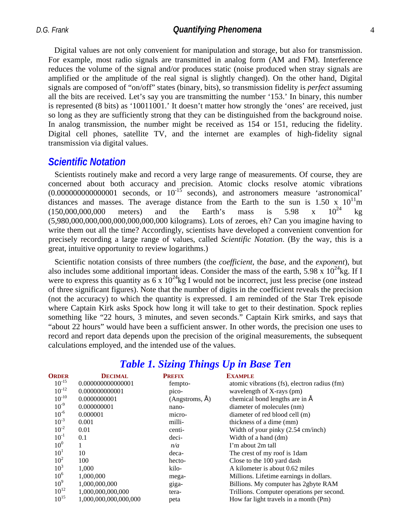*D.G. Frank Quantifying Phenomena* 4

Digital values are not only convenient for manipulation and storage, but also for transmission. For example, most radio signals are transmitted in analog form (AM and FM). Interference reduces the volume of the signal and/or produces static (noise produced when stray signals are amplified or the amplitude of the real signal is slightly changed). On the other hand, Digital signals are composed of "on/off" states (binary, bits), so transmission fidelity is *perfect* assuming all the bits are received. Let's say you are transmitting the number '153.' In binary, this number is represented (8 bits) as '10011001.' It doesn't matter how strongly the 'ones' are received, just so long as they are sufficiently strong that they can be distinguished from the background noise. In analog transmission, the number might be received as 154 or 151, reducing the fidelity. Digital cell phones, satellite TV, and the internet are examples of high-fidelity signal transmission via digital values.

#### *Scientific Notation*

Scientists routinely make and record a very large range of measurements. Of course, they are concerned about both accuracy and precision. Atomic clocks resolve atomic vibrations  $(0.000000000000001$  seconds, or  $10^{-15}$  seconds), and astronomers measure 'astronomical' distances and masses. The average distance from the Earth to the sun is 1.50 x  $10^{11}$ m  $(150,000,000,000$  meters) and the Earth's mass is 5.98 x  $10^{24}$  kg (5,980,000,000,000,000,000,000,000 kilograms). Lots of zeroes, eh? Can you imagine having to write them out all the time? Accordingly, scientists have developed a convenient convention for precisely recording a large range of values, called *Scientific Notation*. (By the way, this is a great, intuitive opportunity to review logarithms.)

Scientific notation consists of three numbers (the *coefficient*, the *base*, and the *exponent*), but also includes some additional important ideas. Consider the mass of the earth, 5.98 x  $10^{24}$ kg. If I were to express this quantity as  $6 \times 10^{24}$ kg I would not be incorrect, just less precise (one instead of three significant figures). Note that the number of digits in the coefficient reveals the precision (not the accuracy) to which the quantity is expressed. I am reminded of the Star Trek episode where Captain Kirk asks Spock how long it will take to get to their destination. Spock replies something like "22 hours, 3 minutes, and seven seconds." Captain Kirk smirks, and says that "about 22 hours" would have been a sufficient answer. In other words, the precision one uses to record and report data depends upon the precision of the original measurements, the subsequent calculations employed, and the intended use of the values.

| <b>ORDER</b>    | <b>DECIMAL</b>        | <b>PREFIX</b>  | <b>EXAMPLE</b>                               |
|-----------------|-----------------------|----------------|----------------------------------------------|
| $10^{-15}$      | 0.000000000000001     | fempto-        | atomic vibrations (fs), electron radius (fm) |
| $10^{-12}$      | 0.000000000001        | pico-          | wavelength of X-rays (pm)                    |
| $10^{-10}$      | 0.0000000001          | (Angstroms, A) | chemical bond lengths are in A               |
| $10^{-9}$       | 0.000000001           | nano-          | diameter of molecules (nm)                   |
| $10^{-6}$       | 0.000001              | micro-         | diameter of red blood cell (m)               |
| $10^{-3}$       | 0.001                 | milli-         | thickness of a dime (mm)                     |
| $10^{-2}$       | 0.01                  | centi-         | Width of your pinky $(2.54 \text{ cm/inch})$ |
| $10^{-1}$       | 0.1                   | deci-          | Width of a hand (dm)                         |
| 10 <sup>0</sup> |                       | n/a            | I'm about 2m tall                            |
| 10 <sup>1</sup> | 10                    | deca-          | The crest of my roof is 1 dam                |
| 10 <sup>2</sup> | 100                   | hecto-         | Close to the 100 yard dash                   |
| 10 <sup>3</sup> | 1,000                 | kilo-          | A kilometer is about 0.62 miles              |
| 10 <sup>6</sup> | 1.000.000             | mega-          | Millions. Lifetime earnings in dollars.      |
| 10 <sup>9</sup> | 1,000,000,000         | giga-          | Billions. My computer has 2gbyte RAM         |
| $10^{12}$       | 1,000,000,000,000     | tera-          | Trillions. Computer operations per second.   |
| $10^{15}$       | 1,000,000,000,000,000 | peta           | How far light travels in a month (Pm)        |

## *Table 1. Sizing Things Up in Base Ten*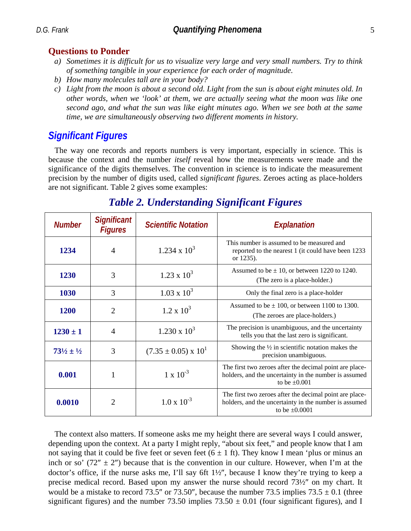### **Questions to Ponder**

- *a) Sometimes it is difficult for us to visualize very large and very small numbers. Try to think of something tangible in your experience for each order of magnitude.*
- *b) How many molecules tall are in your body?*
- *c) Light from the moon is about a second old. Light from the sun is about eight minutes old. In other words, when we 'look' at them, we are actually seeing what the moon was like one second ago, and what the sun was like eight minutes ago. When we see both at the same time, we are simultaneously observing two different moments in history.*

# *Significant Figures*

The way one records and reports numbers is very important, especially in science. This is because the context and the number *itself* reveal how the measurements were made and the significance of the digits themselves. The convention in science is to indicate the measurement precision by the number of digits used, called *significant figures*. Zeroes acting as place-holders are not significant. Table 2 gives some examples:

| <b>Number</b>                   | <b>Significant</b><br><b>Figures</b> | <b>Scientific Notation</b>      | Explanation                                                                                                                            |
|---------------------------------|--------------------------------------|---------------------------------|----------------------------------------------------------------------------------------------------------------------------------------|
| 1234                            | $\overline{A}$                       | $1.234 \times 10^3$             | This number is assumed to be measured and<br>reported to the nearest 1 (it could have been 1233<br>or 1235).                           |
| 1230                            | 3                                    | $1.23 \times 10^3$              | Assumed to be $\pm$ 10, or between 1220 to 1240.<br>(The zero is a place-holder.)                                                      |
| 1030                            | 3                                    | $1.03 \times 10^3$              | Only the final zero is a place-holder                                                                                                  |
| <b>1200</b>                     | $\overline{2}$                       | $1.2 \times 10^3$               | Assumed to be $\pm$ 100, or between 1100 to 1300.<br>(The zeroes are place-holders.)                                                   |
| $1230 \pm 1$                    | $\overline{4}$                       | $1.230 \times 10^3$             | The precision is unambiguous, and the uncertainty<br>tells you that the last zero is significant.                                      |
| $73\frac{1}{2} \pm \frac{1}{2}$ | 3                                    | $(7.35 \pm 0.05) \times 10^{1}$ | Showing the $\frac{1}{2}$ in scientific notation makes the<br>precision unambiguous.                                                   |
| 0.001                           | 1                                    | $1 \times 10^{-3}$              | The first two zeroes after the decimal point are place-<br>holders, and the uncertainty in the number is assumed<br>to be $\pm 0.001$  |
| 0.0010                          | $\overline{2}$                       | $1.0 \times 10^{-3}$            | The first two zeroes after the decimal point are place-<br>holders, and the uncertainty in the number is assumed<br>to be $\pm 0.0001$ |

# *Table 2. Understanding Significant Figures*

The context also matters. If someone asks me my height there are several ways I could answer, depending upon the context. At a party I might reply, "about six feet," and people know that I am not saying that it could be five feet or seven feet  $(6 \pm 1 \text{ ft})$ . They know I mean 'plus or minus an inch or so'  $(72'' \pm 2'')$  because that is the convention in our culture. However, when I'm at the doctor's office, if the nurse asks me, I'll say 6ft 1½″, because I know they're trying to keep a precise medical record. Based upon my answer the nurse should record 73½″ on my chart. It would be a mistake to record 73.5" or 73.50", because the number 73.5 implies  $73.5 \pm 0.1$  (three significant figures) and the number 73.50 implies  $73.50 \pm 0.01$  (four significant figures), and I